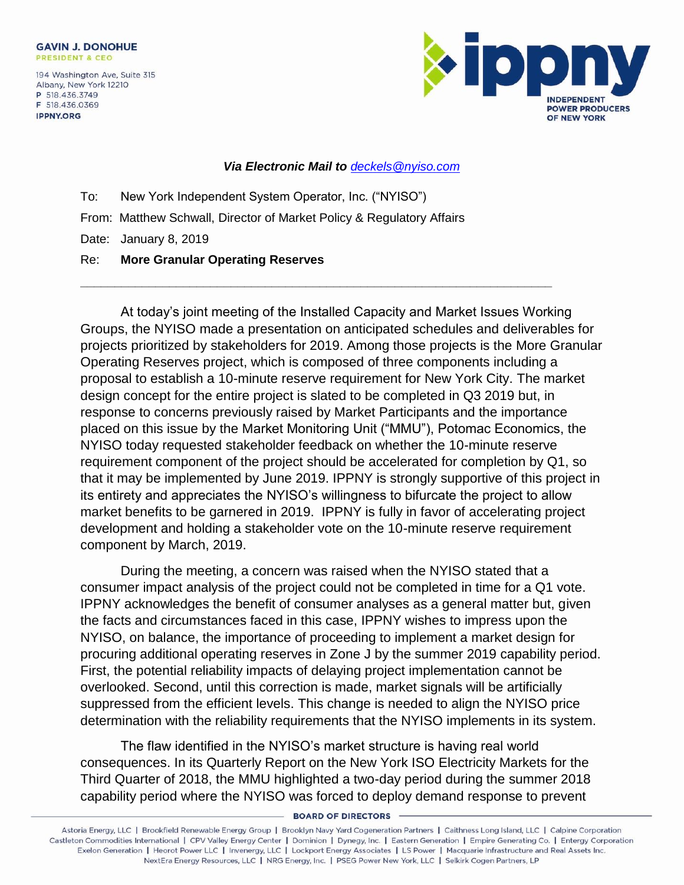194 Washington Ave, Suite 315 Albany, New York 12210 P 518.436.3749 F 518.436.0369 **IPPNY.ORG** 



## *Via Electronic Mail to [deckels@nyiso.com](mailto:deckels@nyiso.com)*

**\_\_\_\_\_\_\_\_\_\_\_\_\_\_\_\_\_\_\_\_\_\_\_\_\_\_\_\_\_\_\_\_\_\_\_\_\_\_\_\_\_\_\_\_\_\_\_\_\_\_\_\_\_\_\_\_\_\_\_\_\_\_\_\_\_\_\_\_\_**

To: New York Independent System Operator, Inc. ("NYISO") From: Matthew Schwall, Director of Market Policy & Regulatory Affairs Date: January 8, 2019 Re: **More Granular Operating Reserves**

At today's joint meeting of the Installed Capacity and Market Issues Working Groups, the NYISO made a presentation on anticipated schedules and deliverables for projects prioritized by stakeholders for 2019. Among those projects is the More Granular Operating Reserves project, which is composed of three components including a proposal to establish a 10-minute reserve requirement for New York City. The market design concept for the entire project is slated to be completed in Q3 2019 but, in response to concerns previously raised by Market Participants and the importance placed on this issue by the Market Monitoring Unit ("MMU"), Potomac Economics, the NYISO today requested stakeholder feedback on whether the 10-minute reserve requirement component of the project should be accelerated for completion by Q1, so that it may be implemented by June 2019. IPPNY is strongly supportive of this project in its entirety and appreciates the NYISO's willingness to bifurcate the project to allow market benefits to be garnered in 2019. IPPNY is fully in favor of accelerating project development and holding a stakeholder vote on the 10-minute reserve requirement component by March, 2019.

During the meeting, a concern was raised when the NYISO stated that a consumer impact analysis of the project could not be completed in time for a Q1 vote. IPPNY acknowledges the benefit of consumer analyses as a general matter but, given the facts and circumstances faced in this case, IPPNY wishes to impress upon the NYISO, on balance, the importance of proceeding to implement a market design for procuring additional operating reserves in Zone J by the summer 2019 capability period. First, the potential reliability impacts of delaying project implementation cannot be overlooked. Second, until this correction is made, market signals will be artificially suppressed from the efficient levels. This change is needed to align the NYISO price determination with the reliability requirements that the NYISO implements in its system.

The flaw identified in the NYISO's market structure is having real world consequences. In its Quarterly Report on the New York ISO Electricity Markets for the Third Quarter of 2018, the MMU highlighted a two-day period during the summer 2018 capability period where the NYISO was forced to deploy demand response to prevent

**BOARD OF DIRECTORS** 

Astoria Energy, LLC | Brookfield Renewable Energy Group | Brooklyn Navy Yard Cogeneration Partners | Caithness Long Island, LLC | Calpine Corporation Castleton Commodities International | CPV Valley Energy Center | Dominion | Dynegy, Inc. | Eastern Generation | Empire Generating Co. | Entergy Corporation Exelon Generation | Heorot Power LLC | Invenergy, LLC | Lockport Energy Associates | LS Power | Macquarie Infrastructure and Real Assets Inc. NextEra Energy Resources, LLC | NRG Energy, Inc. | PSEG Power New York, LLC | Selkirk Cogen Partners, LP